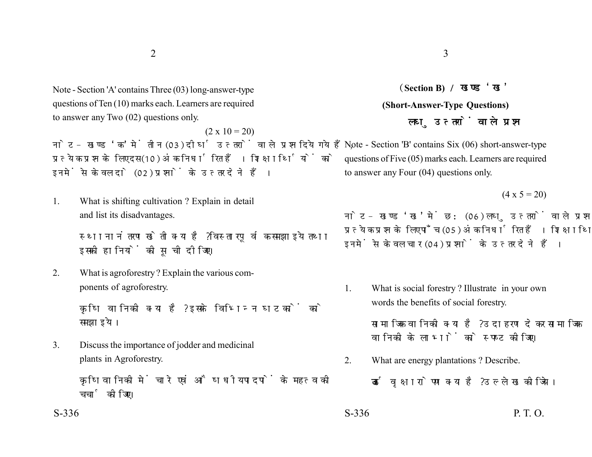Note - Section 'A' contains Three (03) long-answer-type questions of Ten (10) marks each. Learners are required to answer any Two (02) questions only.

 $(2 \times 10 = 20)$ नोट- खण्ड 'क' में तीन (03) दीर्घ उत्तरों वाले प्रश्न दिये गये हैं. प्रत्येक प्रश्न के लिए दस (10) अंक निर्धारित हैं। शिक्षार्थियों को इनमें से केवल दो (02) प्रश्नों के उत्तर देने हैं।

1. What is shifting cultivation ? Explain in detail and list its disadvantages.

> स्थानानंतरण खेती क्या है ? विस्तारपूर्वक समझाइये तथा इसकी हानियों की सची दीजिए।

2. What is agroforestry ? Explain the various components of agroforestry.

> कषि वानिकी क्या है? इसके विभिन्न घटकों को समझाइये।

3. Discuss the importance of jodder and medicinal plants in Agroforestry.

> कृषिवानिकी में चारे एवं औषधीय पादपों के महत्व की चर्चा कोजिए।

**Section B) (Short-Answer-Type Questions)** लघ उत्तरों वाले प्रश्न

Note - Section 'B' contains Six (06) short-answer-type questions of Five (05) marks each. Learners are required to answer any Four (04) questions only.

 $(4 \times 5 = 20)$ 

नोट- खण्ड 'ख' में छ: (06) लघु उत्तरों वाले प्रश्न दिये गये हैं, प्रत्येक प्रश्न के लिए पाँच (05) अंक निर्धारित हैं। शिक्षार्थियों को इनमें से केवल चार (04) प्रश्नों के उत्तर देने हैं।

1. What is social forestry ? Illustrate in your own words the benefits of social forestry.

> सामाजिक वानिकी क्या है? उदाहरण देकर सामाजिक वानिकी के लाभों को स्पष्ट कीजिए।

2. What are energy plantations ? Describe.

ऊर्जा वृक्षारोपण क्या है? उल्लेख कीजिये।

 $S-336$  P. T. O.